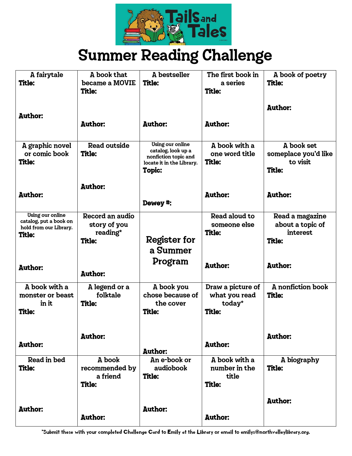

# Summer Reading Challenge

| A fairytale                                | A book that                          | A bestseller                                      | The first book in               | A book of poetry                 |
|--------------------------------------------|--------------------------------------|---------------------------------------------------|---------------------------------|----------------------------------|
| <b>Title:</b>                              | became a MOVIE                       | <b>Title:</b>                                     | a series                        | <b>Title:</b>                    |
|                                            | <b>Title:</b>                        |                                                   | <b>Title:</b>                   |                                  |
|                                            |                                      |                                                   |                                 | <b>Author:</b>                   |
| <b>Author:</b>                             |                                      |                                                   |                                 |                                  |
|                                            | <b>Author:</b>                       | <b>Author:</b>                                    | <b>Author:</b>                  |                                  |
|                                            |                                      |                                                   |                                 |                                  |
| A graphic novel<br>or comic book           | <b>Read outside</b><br><b>Title:</b> | Using our online<br>catalog, look up a            | A book with a<br>one word title | A book set                       |
| <b>Title:</b>                              |                                      | nonfiction topic and<br>locate it in the Library. | <b>Title:</b>                   | someplace you'd like<br>to visit |
|                                            |                                      | <b>Topic:</b>                                     |                                 | <b>Title:</b>                    |
|                                            |                                      |                                                   |                                 |                                  |
|                                            | <b>Author:</b>                       |                                                   |                                 |                                  |
| <b>Author:</b>                             |                                      |                                                   | <b>Author:</b>                  | <b>Author:</b>                   |
|                                            |                                      | Dewey #:                                          |                                 |                                  |
| Using our online<br>catalog, put a book on | Record an audio                      |                                                   | Read aloud to                   | Read a magazine                  |
| hold from our Library.                     | story of you                         |                                                   | someone else                    | about a topic of                 |
| <b>Title:</b>                              | reading*<br><b>Title:</b>            | <b>Register for</b>                               | <b>Title:</b>                   | interest<br><b>Title:</b>        |
|                                            |                                      | a Summer                                          |                                 |                                  |
|                                            |                                      |                                                   |                                 |                                  |
| <b>Author:</b>                             |                                      | Program                                           | <b>Author:</b>                  | <b>Author:</b>                   |
|                                            | <b>Author:</b>                       |                                                   |                                 |                                  |
| A book with a                              | A legend or a                        | A book you                                        | Draw a picture of               | A nonfiction book                |
| monster or beast                           | folktale                             | chose because of                                  | what you read                   | <b>Title:</b>                    |
| in it                                      | <b>Title:</b>                        | the cover                                         | today*                          |                                  |
| <b>Title:</b>                              |                                      | <b>Title:</b>                                     | <b>Title:</b>                   |                                  |
|                                            |                                      |                                                   |                                 |                                  |
|                                            | <b>Author:</b>                       |                                                   |                                 | <b>Author:</b>                   |
| <b>Author:</b>                             |                                      | <b>Author:</b>                                    | <b>Author:</b>                  |                                  |
| Read in bed                                | A book                               | An e-book or                                      | A book with a                   | A biography                      |
| <b>Title:</b>                              | recommended by                       | audiobook                                         | number in the                   | <b>Title:</b>                    |
|                                            | a friend                             | <b>Title:</b>                                     | title                           |                                  |
|                                            | <b>Title:</b>                        |                                                   | <b>Title:</b>                   |                                  |
|                                            |                                      |                                                   |                                 | <b>Author:</b>                   |
| <b>Author:</b>                             |                                      | <b>Author:</b>                                    |                                 |                                  |
|                                            | <b>Author:</b>                       |                                                   | <b>Author:</b>                  |                                  |
|                                            |                                      |                                                   |                                 |                                  |

\*Submit these with your completed Challenge Card to Emily at the Library or email to emilys@northvalleylibrary.org.